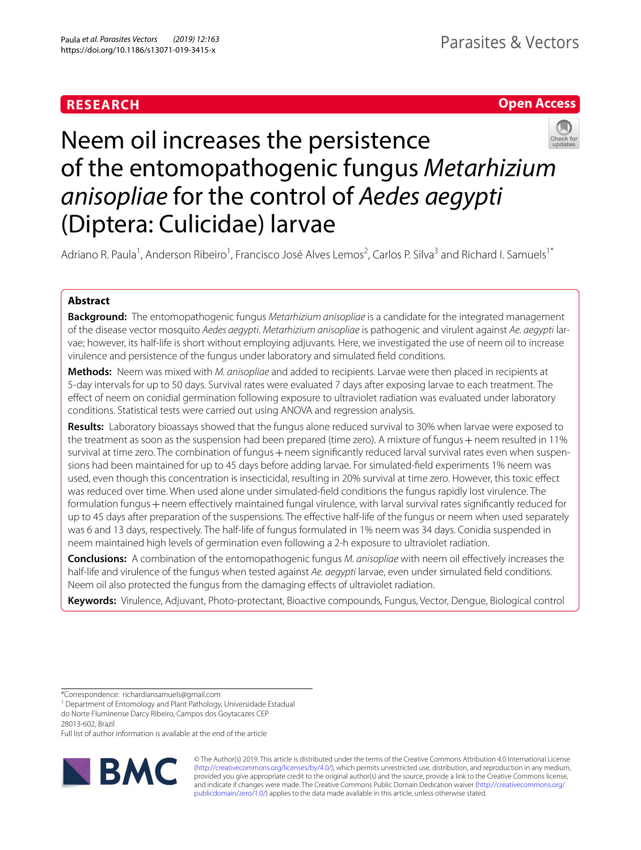# **RESEARCH**

# **Open Access**



# Neem oil increases the persistence of the entomopathogenic fungus *Metarhizium anisopliae* for the control of *Aedes aegypti* (Diptera: Culicidae) larvae

Adriano R. Paula<sup>1</sup>, Anderson Ribeiro<sup>1</sup>, Francisco José Alves Lemos<sup>2</sup>, Carlos P. Silva<sup>3</sup> and Richard I. Samuels<sup>1\*</sup>

# **Abstract**

**Background:** The entomopathogenic fungus *Metarhizium anisopliae* is a candidate for the integrated management of the disease vector mosquito *Aedes aegypti*. *Metarhizium anisopliae* is pathogenic and virulent against *Ae. aegypti* larvae; however, its half-life is short without employing adjuvants. Here, we investigated the use of neem oil to increase virulence and persistence of the fungus under laboratory and simulated feld conditions.

**Methods:** Neem was mixed with *M. anisopliae* and added to recipients. Larvae were then placed in recipients at 5-day intervals for up to 50 days. Survival rates were evaluated 7 days after exposing larvae to each treatment. The efect of neem on conidial germination following exposure to ultraviolet radiation was evaluated under laboratory conditions. Statistical tests were carried out using ANOVA and regression analysis.

**Results:** Laboratory bioassays showed that the fungus alone reduced survival to 30% when larvae were exposed to the treatment as soon as the suspension had been prepared (time zero). A mixture of fungus + neem resulted in 11% survival at time zero. The combination of fungus + neem significantly reduced larval survival rates even when suspensions had been maintained for up to 45 days before adding larvae. For simulated-feld experiments 1% neem was used, even though this concentration is insecticidal, resulting in 20% survival at time zero. However, this toxic efect was reduced over time. When used alone under simulated-feld conditions the fungus rapidly lost virulence. The formulation fungus + neem effectively maintained fungal virulence, with larval survival rates significantly reduced for up to 45 days after preparation of the suspensions. The efective half-life of the fungus or neem when used separately was 6 and 13 days, respectively. The half-life of fungus formulated in 1% neem was 34 days. Conidia suspended in neem maintained high levels of germination even following a 2-h exposure to ultraviolet radiation.

**Conclusions:** A combination of the entomopathogenic fungus *M. anisopliae* with neem oil efectively increases the half-life and virulence of the fungus when tested against *Ae. aegypti* larvae, even under simulated feld conditions. Neem oil also protected the fungus from the damaging effects of ultraviolet radiation.

**Keywords:** Virulence, Adjuvant, Photo-protectant, Bioactive compounds, Fungus, Vector, Dengue, Biological control

\*Correspondence: richardiansamuels@gmail.com

do Norte Fluminense Darcy Ribeiro, Campos dos Goytacazes CEP

28013-602, Brazil

Full list of author information is available at the end of the article



© The Author(s) 2019. This article is distributed under the terms of the Creative Commons Attribution 4.0 International License [\(http://creativecommons.org/licenses/by/4.0/\)](http://creativecommons.org/licenses/by/4.0/), which permits unrestricted use, distribution, and reproduction in any medium, provided you give appropriate credit to the original author(s) and the source, provide a link to the Creative Commons license, and indicate if changes were made. The Creative Commons Public Domain Dedication waiver ([http://creativecommons.org/](http://creativecommons.org/publicdomain/zero/1.0/) [publicdomain/zero/1.0/](http://creativecommons.org/publicdomain/zero/1.0/)) applies to the data made available in this article, unless otherwise stated.

<sup>&</sup>lt;sup>1</sup> Department of Entomology and Plant Pathology, Universidade Estadual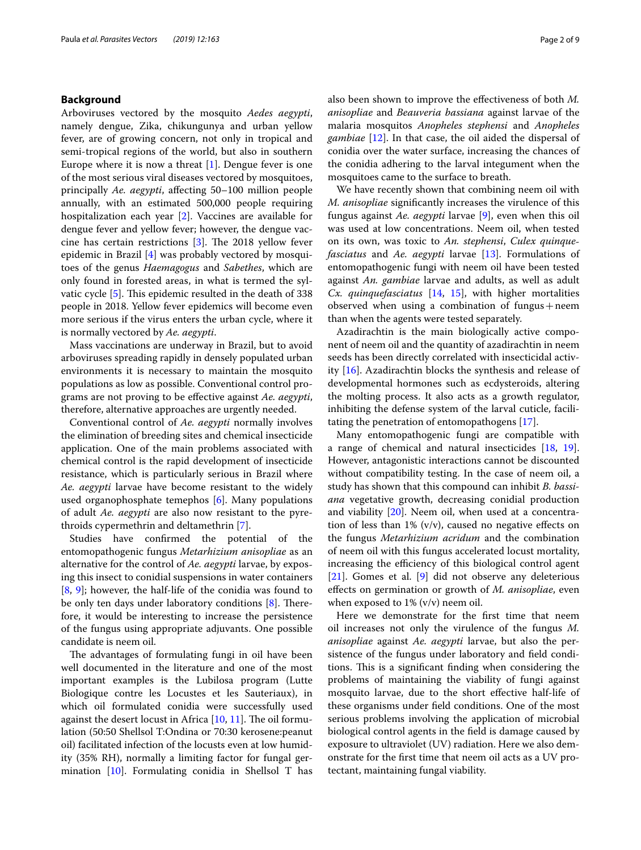# **Background**

Arboviruses vectored by the mosquito *Aedes aegypti*, namely dengue, Zika, chikungunya and urban yellow fever, are of growing concern, not only in tropical and semi-tropical regions of the world, but also in southern Europe where it is now a threat [\[1](#page-7-0)]. Dengue fever is one of the most serious viral diseases vectored by mosquitoes, principally *Ae. aegypti*, afecting 50–100 million people annually, with an estimated 500,000 people requiring hospitalization each year [[2\]](#page-7-1). Vaccines are available for dengue fever and yellow fever; however, the dengue vaccine has certain restrictions  $[3]$  $[3]$ . The 2018 yellow fever epidemic in Brazil [[4\]](#page-7-3) was probably vectored by mosquitoes of the genus *Haemagogus* and *Sabethes*, which are only found in forested areas, in what is termed the syl-vatic cycle [[5\]](#page-7-4). This epidemic resulted in the death of 338 people in 2018. Yellow fever epidemics will become even more serious if the virus enters the urban cycle, where it is normally vectored by *Ae. aegypti*.

Mass vaccinations are underway in Brazil, but to avoid arboviruses spreading rapidly in densely populated urban environments it is necessary to maintain the mosquito populations as low as possible. Conventional control programs are not proving to be efective against *Ae. aegypti*, therefore, alternative approaches are urgently needed.

Conventional control of *Ae. aegypti* normally involves the elimination of breeding sites and chemical insecticide application. One of the main problems associated with chemical control is the rapid development of insecticide resistance, which is particularly serious in Brazil where *Ae. aegypti* larvae have become resistant to the widely used organophosphate temephos [\[6\]](#page-7-5). Many populations of adult *Ae. aegypti* are also now resistant to the pyrethroids cypermethrin and deltamethrin [[7\]](#page-7-6).

Studies have confrmed the potential of the entomopathogenic fungus *Metarhizium anisopliae* as an alternative for the control of *Ae. aegypti* larvae, by exposing this insect to conidial suspensions in water containers [[8,](#page-7-7) [9](#page-7-8)]; however, the half-life of the conidia was found to be only ten days under laboratory conditions  $[8]$  $[8]$ . Therefore, it would be interesting to increase the persistence of the fungus using appropriate adjuvants. One possible candidate is neem oil.

The advantages of formulating fungi in oil have been well documented in the literature and one of the most important examples is the Lubilosa program (Lutte Biologique contre les Locustes et les Sauteriaux), in which oil formulated conidia were successfully used against the desert locust in Africa  $[10, 11]$  $[10, 11]$  $[10, 11]$  $[10, 11]$ . The oil formulation (50:50 Shellsol T:Ondina or 70:30 kerosene:peanut oil) facilitated infection of the locusts even at low humidity (35% RH), normally a limiting factor for fungal germination [\[10](#page-7-9)]. Formulating conidia in Shellsol T has also been shown to improve the efectiveness of both *M. anisopliae* and *Beauveria bassiana* against larvae of the malaria mosquitos *Anopheles stephensi* and *Anopheles gambiae* [[12\]](#page-7-11). In that case, the oil aided the dispersal of conidia over the water surface, increasing the chances of the conidia adhering to the larval integument when the mosquitoes came to the surface to breath.

We have recently shown that combining neem oil with *M. anisopliae* signifcantly increases the virulence of this fungus against *Ae. aegypti* larvae [\[9](#page-7-8)], even when this oil was used at low concentrations. Neem oil, when tested on its own, was toxic to *An. stephensi*, *Culex quinquefasciatus* and *Ae. aegypti* larvae [[13\]](#page-7-12). Formulations of entomopathogenic fungi with neem oil have been tested against *An. gambiae* larvae and adults, as well as adult *Cx. quinquefasciatus* [\[14](#page-7-13), [15](#page-7-14)], with higher mortalities observed when using a combination of fungus + neem than when the agents were tested separately.

Azadirachtin is the main biologically active component of neem oil and the quantity of azadirachtin in neem seeds has been directly correlated with insecticidal activity [\[16](#page-7-15)]. Azadirachtin blocks the synthesis and release of developmental hormones such as ecdysteroids, altering the molting process. It also acts as a growth regulator, inhibiting the defense system of the larval cuticle, facilitating the penetration of entomopathogens [\[17](#page-8-0)].

Many entomopathogenic fungi are compatible with a range of chemical and natural insecticides [\[18](#page-8-1), [19](#page-8-2)]. However, antagonistic interactions cannot be discounted without compatibility testing. In the case of neem oil, a study has shown that this compound can inhibit *B. bassiana* vegetative growth, decreasing conidial production and viability [[20\]](#page-8-3). Neem oil, when used at a concentration of less than  $1\%$  (v/v), caused no negative effects on the fungus *Metarhizium acridum* and the combination of neem oil with this fungus accelerated locust mortality, increasing the efficiency of this biological control agent [[21\]](#page-8-4). Gomes et al. [\[9](#page-7-8)] did not observe any deleterious efects on germination or growth of *M. anisopliae*, even when exposed to  $1\%$  (v/v) neem oil.

Here we demonstrate for the frst time that neem oil increases not only the virulence of the fungus *M. anisopliae* against *Ae. aegypti* larvae, but also the persistence of the fungus under laboratory and feld conditions. This is a significant finding when considering the problems of maintaining the viability of fungi against mosquito larvae, due to the short efective half-life of these organisms under feld conditions. One of the most serious problems involving the application of microbial biological control agents in the feld is damage caused by exposure to ultraviolet (UV) radiation. Here we also demonstrate for the frst time that neem oil acts as a UV protectant, maintaining fungal viability.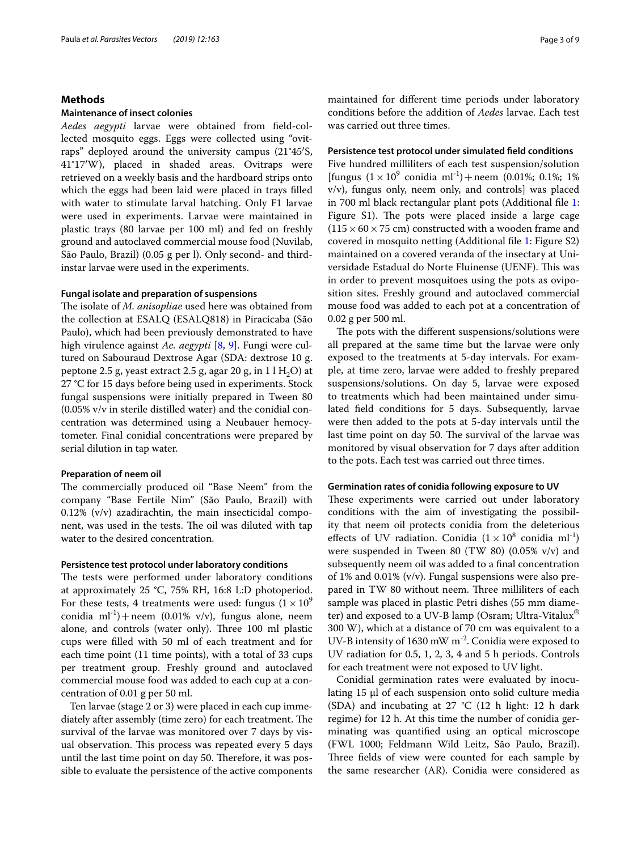# **Methods**

# **Maintenance of insect colonies**

*Aedes aegypti* larvae were obtained from feld-collected mosquito eggs. Eggs were collected using "ovitraps" deployed around the university campus (21°45′S, 41°17′W), placed in shaded areas. Ovitraps were retrieved on a weekly basis and the hardboard strips onto which the eggs had been laid were placed in trays flled with water to stimulate larval hatching. Only F1 larvae were used in experiments. Larvae were maintained in plastic trays (80 larvae per 100 ml) and fed on freshly ground and autoclaved commercial mouse food (Nuvilab, São Paulo, Brazil) (0.05 g per l). Only second- and thirdinstar larvae were used in the experiments.

# **Fungal isolate and preparation of suspensions**

The isolate of *M. anisopliae* used here was obtained from the collection at ESALQ (ESALQ818) in Piracicaba (São Paulo), which had been previously demonstrated to have high virulence against *Ae. aegypti* [\[8](#page-7-7), [9](#page-7-8)]. Fungi were cultured on Sabouraud Dextrose Agar (SDA: dextrose 10 g. peptone 2.5 g, yeast extract 2.5 g, agar 20 g, in  $11 H<sub>2</sub>O$ ) at 27 °C for 15 days before being used in experiments. Stock fungal suspensions were initially prepared in Tween 80 (0.05% v/v in sterile distilled water) and the conidial concentration was determined using a Neubauer hemocytometer. Final conidial concentrations were prepared by serial dilution in tap water.

# **Preparation of neem oil**

The commercially produced oil "Base Neem" from the company "Base Fertile Nim" (São Paulo, Brazil) with 0.12% (v/v) azadirachtin, the main insecticidal component, was used in the tests. The oil was diluted with tap water to the desired concentration.

# **Persistence test protocol under laboratory conditions**

The tests were performed under laboratory conditions at approximately 25 °C, 75% RH, 16:8 L:D photoperiod. For these tests, 4 treatments were used: fungus  $(1 \times 10^9)$ conidia  $ml^{-1}$ ) + neem (0.01% v/v), fungus alone, neem alone, and controls (water only). Three 100 ml plastic cups were flled with 50 ml of each treatment and for each time point (11 time points), with a total of 33 cups per treatment group. Freshly ground and autoclaved commercial mouse food was added to each cup at a concentration of 0.01 g per 50 ml.

Ten larvae (stage 2 or 3) were placed in each cup immediately after assembly (time zero) for each treatment. The survival of the larvae was monitored over 7 days by visual observation. This process was repeated every 5 days until the last time point on day 50. Therefore, it was possible to evaluate the persistence of the active components maintained for diferent time periods under laboratory conditions before the addition of *Aedes* larvae. Each test was carried out three times.

# **Persistence test protocol under simulated feld conditions**

Five hundred milliliters of each test suspension/solution [fungus  $(1 \times 10^9 \text{ conidia ml}^{-1}) + \text{neem}$   $(0.01\%; 0.1\%; 1\%)$ v/v), fungus only, neem only, and controls] was placed in 700 ml black rectangular plant pots (Additional fle [1](#page-7-16): Figure S1). The pots were placed inside a large cage  $(115 \times 60 \times 75$  cm) constructed with a wooden frame and covered in mosquito netting (Additional fle [1](#page-7-16): Figure S2) maintained on a covered veranda of the insectary at Universidade Estadual do Norte Fluinense (UENF). This was in order to prevent mosquitoes using the pots as oviposition sites. Freshly ground and autoclaved commercial mouse food was added to each pot at a concentration of 0.02 g per 500 ml.

The pots with the different suspensions/solutions were all prepared at the same time but the larvae were only exposed to the treatments at 5-day intervals. For example, at time zero, larvae were added to freshly prepared suspensions/solutions. On day 5, larvae were exposed to treatments which had been maintained under simulated feld conditions for 5 days. Subsequently, larvae were then added to the pots at 5-day intervals until the last time point on day 50. The survival of the larvae was monitored by visual observation for 7 days after addition to the pots. Each test was carried out three times.

# **Germination rates of conidia following exposure to UV**

These experiments were carried out under laboratory conditions with the aim of investigating the possibility that neem oil protects conidia from the deleterious effects of UV radiation. Conidia  $(1 \times 10^8 \text{ conidia ml}^{-1})$ were suspended in Tween 80 (TW 80) (0.05% v/v) and subsequently neem oil was added to a fnal concentration of 1% and 0.01% (v/v). Fungal suspensions were also prepared in TW 80 without neem. Three milliliters of each sample was placed in plastic Petri dishes (55 mm diameter) and exposed to a UV-B lamp (Osram; Ultra-Vitalux® 300 W), which at a distance of 70 cm was equivalent to a UV-B intensity of 1630 mW  $m^{-2}$ . Conidia were exposed to UV radiation for 0.5, 1, 2, 3, 4 and 5 h periods. Controls for each treatment were not exposed to UV light.

Conidial germination rates were evaluated by inoculating 15 μl of each suspension onto solid culture media (SDA) and incubating at 27 °C (12 h light: 12 h dark regime) for 12 h. At this time the number of conidia germinating was quantifed using an optical microscope (FWL 1000; Feldmann Wild Leitz, São Paulo, Brazil). Three fields of view were counted for each sample by the same researcher (AR). Conidia were considered as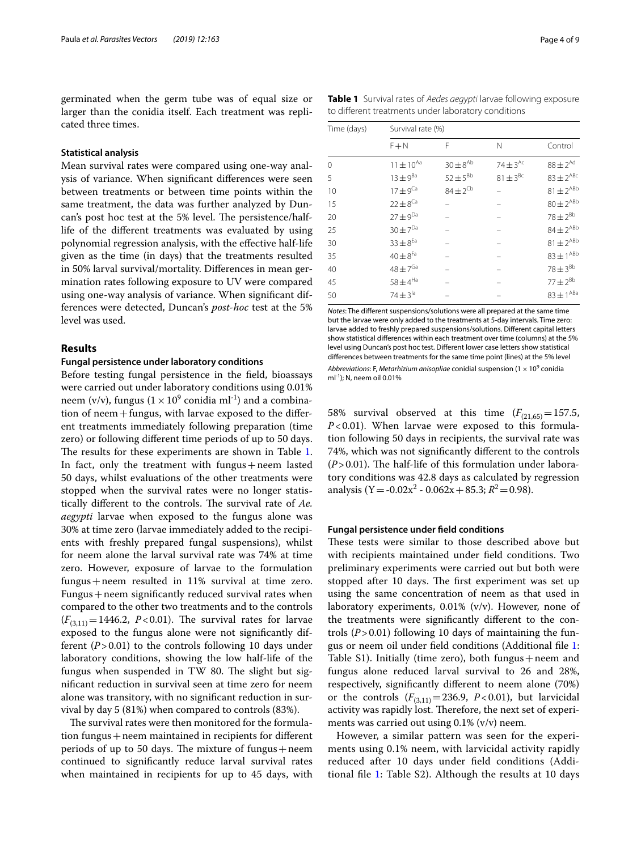germinated when the germ tube was of equal size or larger than the conidia itself. Each treatment was replicated three times.

# **Statistical analysis**

Mean survival rates were compared using one-way analysis of variance. When signifcant diferences were seen between treatments or between time points within the same treatment, the data was further analyzed by Duncan's post hoc test at the 5% level. The persistence/halflife of the diferent treatments was evaluated by using polynomial regression analysis, with the efective half-life given as the time (in days) that the treatments resulted in 50% larval survival/mortality. Diferences in mean germination rates following exposure to UV were compared using one-way analysis of variance. When signifcant differences were detected, Duncan's *post-hoc* test at the 5% level was used.

# **Results**

# **Fungal persistence under laboratory conditions**

Before testing fungal persistence in the feld, bioassays were carried out under laboratory conditions using 0.01% neem (v/v), fungus ( $1 \times 10^9$  conidia ml<sup>-1</sup>) and a combination of neem  $+$  fungus, with larvae exposed to the different treatments immediately following preparation (time zero) or following diferent time periods of up to 50 days. The results for these experiments are shown in Table [1](#page-3-0). In fact, only the treatment with fungus  $+$  neem lasted 50 days, whilst evaluations of the other treatments were stopped when the survival rates were no longer statistically different to the controls. The survival rate of *Ae*. *aegypti* larvae when exposed to the fungus alone was 30% at time zero (larvae immediately added to the recipients with freshly prepared fungal suspensions), whilst for neem alone the larval survival rate was 74% at time zero. However, exposure of larvae to the formulation fungus+neem resulted in 11% survival at time zero. Fungus  $+$  neem significantly reduced survival rates when compared to the other two treatments and to the controls  $(F_{(3,11)}=1446.2, P<0.01)$ . The survival rates for larvae exposed to the fungus alone were not signifcantly different  $(P > 0.01)$  to the controls following 10 days under laboratory conditions, showing the low half-life of the fungus when suspended in TW 80. The slight but signifcant reduction in survival seen at time zero for neem alone was transitory, with no signifcant reduction in survival by day 5 (81%) when compared to controls (83%).

The survival rates were then monitored for the formulation fungus  $+$  neem maintained in recipients for different periods of up to 50 days. The mixture of fungus + neem continued to signifcantly reduce larval survival rates when maintained in recipients for up to 45 days, with <span id="page-3-0"></span>**Table 1** Survival rates of *Aedes aegypti* larvae following exposure to diferent treatments under laboratory conditions

| Time (days) | Survival rate (%)        |                          |                          |                     |
|-------------|--------------------------|--------------------------|--------------------------|---------------------|
|             | $F + N$                  | F                        | N                        | Control             |
| 0           | $11 \pm 10^{Aa}$         | $30 \pm 8^{Ab}$          | $74 \pm 3$ <sup>Ac</sup> | $88\pm2^{Ad}$       |
| 5           | $13 \pm 9^{Ba}$          | $52 \pm 5^{Bb}$          | $81 \pm 3^{BC}$          | $83\pm2^\text{ABC}$ |
| 10          | $17 \pm 9$ <sup>Ca</sup> | $84 \pm 2$ <sup>Cb</sup> |                          | $81 \pm 2^{ABb}$    |
| 15          | $22 \pm 8$ <sup>Ca</sup> |                          |                          | $80\pm2^\text{ABb}$ |
| 20          | $27\pm9^{Da}$            |                          |                          | $78 \pm 2^{Bb}$     |
| 25          | $30 \pm 7^{Da}$          |                          |                          | $84 \pm 2^{ABb}$    |
| 30          | $33 \pm 8^{Ea}$          |                          |                          | $81 \pm 2^{ABb}$    |
| 35          | $40\pm8^{Fa}$            |                          |                          | $83\pm1^{ABb}$      |
| 40          | $48\pm7^{\rm Ga}$        |                          |                          | $78 \pm 3^{Bb}$     |
| 45          | $58\pm4^{\text{Ha}}$     |                          |                          | $77 \pm 2^{Bb}$     |
| 50          | $74 \pm 3^{1a}$          |                          |                          | $83 \pm 1^{ABa}$    |

*Notes*: The diferent suspensions/solutions were all prepared at the same time but the larvae were only added to the treatments at 5-day intervals. Time zero: larvae added to freshly prepared suspensions/solutions. Diferent capital letters show statistical diferences within each treatment over time (columns) at the 5% level using Duncan's post hoc test. Diferent lower case letters show statistical diferences between treatments for the same time point (lines) at the 5% level Abbreviations: F, *Metarhizium anisopliae* conidial suspension  $(1 \times 10^9)$  conidia ml<sup>-1</sup>): N, neem oil 0.01%

58% survival observed at this time  $(F_{(21,65)}=157.5,$ *P*<0.01). When larvae were exposed to this formulation following 50 days in recipients, the survival rate was 74%, which was not signifcantly diferent to the controls  $(P>0.01)$ . The half-life of this formulation under laboratory conditions was 42.8 days as calculated by regression analysis (Y = -0.02 $x^2$  - 0.062x + 85.3;  $R^2$  = 0.98).

### **Fungal persistence under feld conditions**

These tests were similar to those described above but with recipients maintained under feld conditions. Two preliminary experiments were carried out but both were stopped after 10 days. The first experiment was set up using the same concentration of neem as that used in laboratory experiments, 0.01% (v/v). However, none of the treatments were signifcantly diferent to the controls (*P*>0.01) following 10 days of maintaining the fungus or neem oil under feld conditions (Additional fle [1](#page-7-16): Table  $S1$ ). Initially (time zero), both fungus + neem and fungus alone reduced larval survival to 26 and 28%, respectively, signifcantly diferent to neem alone (70%) or the controls  $(F_{(3,11)} = 236.9, P < 0.01)$ , but larvicidal activity was rapidly lost. Therefore, the next set of experiments was carried out using 0.1% (v/v) neem.

However, a similar pattern was seen for the experiments using 0.1% neem, with larvicidal activity rapidly reduced after 10 days under feld conditions (Additional fle [1](#page-7-16): Table S2). Although the results at 10 days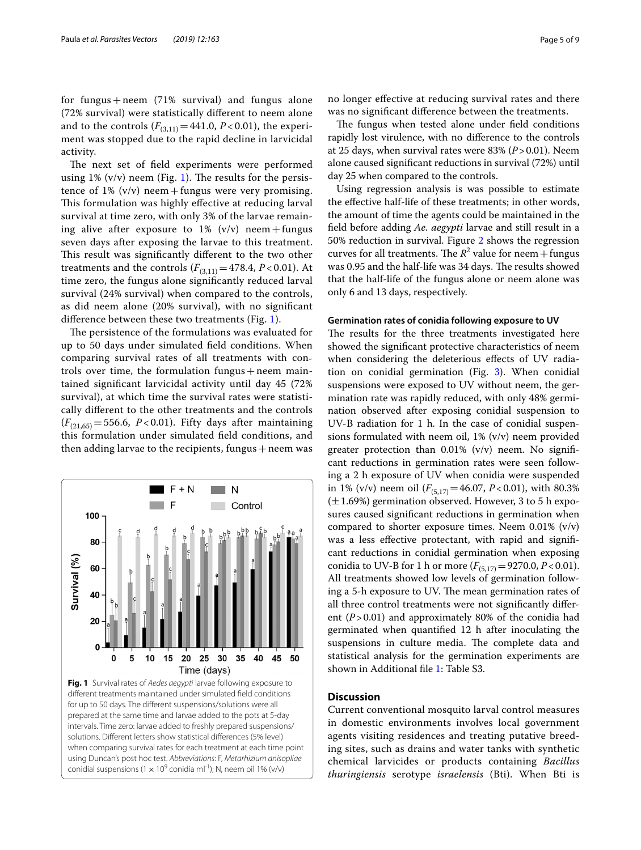for fungus  $+$  neem (71% survival) and fungus alone (72% survival) were statistically diferent to neem alone and to the controls  $(F_{(3,11)} = 441.0, P < 0.01)$ , the experiment was stopped due to the rapid decline in larvicidal activity.

The next set of field experiments were performed using 1%  $(v/v)$  neem (Fig. [1\)](#page-4-0). The results for the persistence of 1%  $(v/v)$  neem + fungus were very promising. This formulation was highly effective at reducing larval survival at time zero, with only 3% of the larvae remaining alive after exposure to  $1\%$  (v/v) neem + fungus seven days after exposing the larvae to this treatment. This result was significantly different to the two other treatments and the controls  $(F_{(3,11)}=478.4, P<0.01)$ . At time zero, the fungus alone signifcantly reduced larval survival (24% survival) when compared to the controls, as did neem alone (20% survival), with no signifcant diference between these two treatments (Fig. [1\)](#page-4-0).

The persistence of the formulations was evaluated for up to 50 days under simulated feld conditions. When comparing survival rates of all treatments with controls over time, the formulation fungus  $+$  neem maintained signifcant larvicidal activity until day 45 (72% survival), at which time the survival rates were statistically diferent to the other treatments and the controls  $(F_{(21.65)} = 556.6, P < 0.01)$ . Fifty days after maintaining this formulation under simulated feld conditions, and then adding larvae to the recipients, fungus  $+$  neem was

<span id="page-4-0"></span>

no longer efective at reducing survival rates and there was no signifcant diference between the treatments.

The fungus when tested alone under field conditions rapidly lost virulence, with no diference to the controls at 25 days, when survival rates were 83% (*P*>0.01). Neem alone caused signifcant reductions in survival (72%) until day 25 when compared to the controls.

Using regression analysis is was possible to estimate the efective half-life of these treatments; in other words, the amount of time the agents could be maintained in the feld before adding *Ae. aegypti* larvae and still result in a 50% reduction in survival. Figure [2](#page-5-0) shows the regression curves for all treatments. The  $R^2$  value for neem + fungus was 0.95 and the half-life was 34 days. The results showed that the half-life of the fungus alone or neem alone was only 6 and 13 days, respectively.

# **Germination rates of conidia following exposure to UV**

The results for the three treatments investigated here showed the signifcant protective characteristics of neem when considering the deleterious effects of UV radiation on conidial germination (Fig. [3](#page-5-1)). When conidial suspensions were exposed to UV without neem, the germination rate was rapidly reduced, with only 48% germination observed after exposing conidial suspension to UV-B radiation for 1 h. In the case of conidial suspensions formulated with neem oil, 1% (v/v) neem provided greater protection than 0.01% (v/v) neem. No signifcant reductions in germination rates were seen following a 2 h exposure of UV when conidia were suspended in 1% (v/v) neem oil  $(F_{(5,17)}=46.07, P<0.01)$ , with 80.3%  $(\pm 1.69%)$  germination observed. However, 3 to 5 h exposures caused signifcant reductions in germination when compared to shorter exposure times. Neem  $0.01\%$  (v/v) was a less efective protectant, with rapid and signifcant reductions in conidial germination when exposing conidia to UV-B for 1 h or more  $(F_{(5,17)}=9270.0, P<0.01)$ . All treatments showed low levels of germination following a 5-h exposure to UV. The mean germination rates of all three control treatments were not signifcantly diferent  $(P > 0.01)$  and approximately 80% of the conidia had germinated when quantifed 12 h after inoculating the suspensions in culture media. The complete data and statistical analysis for the germination experiments are shown in Additional fle [1:](#page-7-16) Table S3.

# **Discussion**

Current conventional mosquito larval control measures in domestic environments involves local government agents visiting residences and treating putative breeding sites, such as drains and water tanks with synthetic chemical larvicides or products containing *Bacillus thuringiensis* serotype *israelensis* (Bti). When Bti is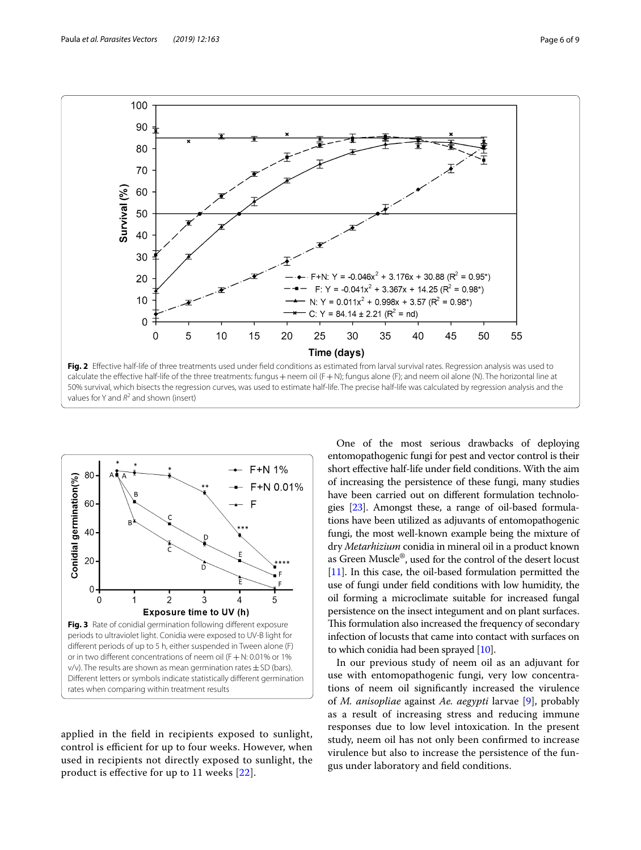

<span id="page-5-0"></span>calculate the effective half-life of the three treatments: fungus + neem oil  $(F + N)$ ; fungus alone  $(F)$ ; and neem oil alone  $(N)$ . The horizontal line at 50% survival, which bisects the regression curves, was used to estimate half-life. The precise half-life was calculated by regression analysis and the values for Y and  $R^2$  and shown (insert)



<span id="page-5-1"></span>applied in the feld in recipients exposed to sunlight, control is efficient for up to four weeks. However, when used in recipients not directly exposed to sunlight, the product is efective for up to 11 weeks [\[22](#page-8-5)].

One of the most serious drawbacks of deploying entomopathogenic fungi for pest and vector control is their short efective half-life under feld conditions. With the aim of increasing the persistence of these fungi, many studies have been carried out on diferent formulation technologies [\[23](#page-8-6)]. Amongst these, a range of oil-based formulations have been utilized as adjuvants of entomopathogenic fungi, the most well-known example being the mixture of dry *Metarhizium* conidia in mineral oil in a product known as Green Muscle®, used for the control of the desert locust [[11](#page-7-10)]. In this case, the oil-based formulation permitted the use of fungi under feld conditions with low humidity, the oil forming a microclimate suitable for increased fungal persistence on the insect integument and on plant surfaces. This formulation also increased the frequency of secondary infection of locusts that came into contact with surfaces on to which conidia had been sprayed [\[10\]](#page-7-9).

In our previous study of neem oil as an adjuvant for use with entomopathogenic fungi, very low concentrations of neem oil signifcantly increased the virulence of *M. anisopliae* against *Ae. aegypti* larvae [[9\]](#page-7-8), probably as a result of increasing stress and reducing immune responses due to low level intoxication. In the present study, neem oil has not only been confrmed to increase virulence but also to increase the persistence of the fungus under laboratory and feld conditions.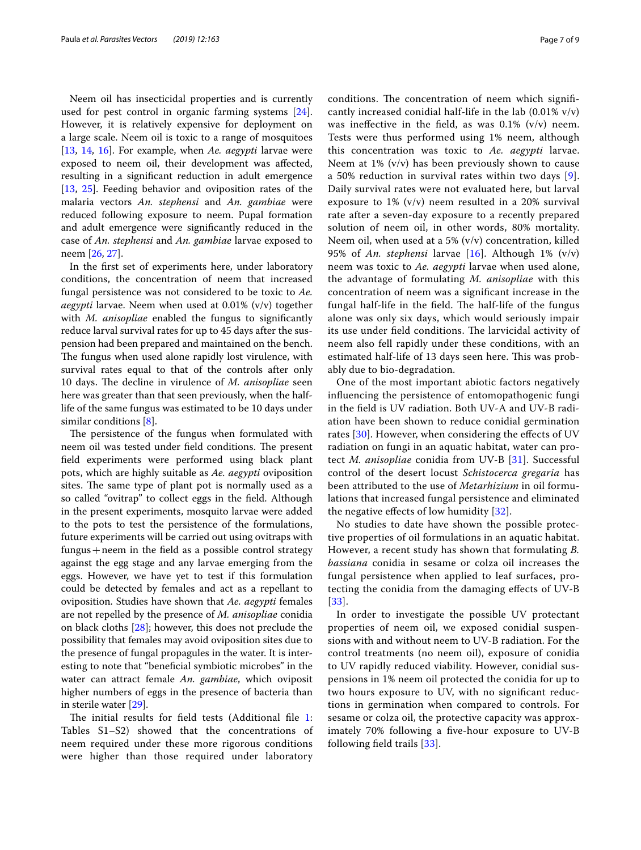Neem oil has insecticidal properties and is currently used for pest control in organic farming systems [\[24](#page-8-7)]. However, it is relatively expensive for deployment on a large scale. Neem oil is toxic to a range of mosquitoes [[13,](#page-7-12) [14](#page-7-13), [16](#page-7-15)]. For example, when *Ae. aegypti* larvae were exposed to neem oil, their development was afected, resulting in a signifcant reduction in adult emergence [[13,](#page-7-12) [25](#page-8-8)]. Feeding behavior and oviposition rates of the malaria vectors *An. stephensi* and *An. gambiae* were reduced following exposure to neem. Pupal formation and adult emergence were signifcantly reduced in the case of *An. stephensi* and *An. gambiae* larvae exposed to neem [[26,](#page-8-9) [27](#page-8-10)].

In the frst set of experiments here, under laboratory conditions, the concentration of neem that increased fungal persistence was not considered to be toxic to *Ae. aegypti* larvae. Neem when used at 0.01% (v/v) together with *M. anisopliae* enabled the fungus to signifcantly reduce larval survival rates for up to 45 days after the suspension had been prepared and maintained on the bench. The fungus when used alone rapidly lost virulence, with survival rates equal to that of the controls after only 10 days. The decline in virulence of *M. anisopliae* seen here was greater than that seen previously, when the halflife of the same fungus was estimated to be 10 days under similar conditions [[8\]](#page-7-7).

The persistence of the fungus when formulated with neem oil was tested under field conditions. The present feld experiments were performed using black plant pots, which are highly suitable as *Ae. aegypti* oviposition sites. The same type of plant pot is normally used as a so called "ovitrap" to collect eggs in the feld. Although in the present experiments, mosquito larvae were added to the pots to test the persistence of the formulations, future experiments will be carried out using ovitraps with fungus+neem in the feld as a possible control strategy against the egg stage and any larvae emerging from the eggs. However, we have yet to test if this formulation could be detected by females and act as a repellant to oviposition. Studies have shown that *Ae. aegypti* females are not repelled by the presence of *M. anisopliae* conidia on black cloths [\[28](#page-8-11)]; however, this does not preclude the possibility that females may avoid oviposition sites due to the presence of fungal propagules in the water. It is interesting to note that "beneficial symbiotic microbes" in the water can attract female *An. gambiae*, which oviposit higher numbers of eggs in the presence of bacteria than in sterile water [[29](#page-8-12)].

The initial results for field tests (Additional file  $1$ : Tables S1–S2) showed that the concentrations of neem required under these more rigorous conditions were higher than those required under laboratory conditions. The concentration of neem which significantly increased conidial half-life in the lab  $(0.01\% \text{ v/v})$ was ineffective in the field, as was  $0.1\%$  (v/v) neem. Tests were thus performed using 1% neem, although this concentration was toxic to *Ae. aegypti* larvae. Neem at  $1\%$  (v/v) has been previously shown to cause a 50% reduction in survival rates within two days [[9](#page-7-8)]. Daily survival rates were not evaluated here, but larval exposure to 1% (v/v) neem resulted in a 20% survival rate after a seven-day exposure to a recently prepared solution of neem oil, in other words, 80% mortality. Neem oil, when used at a 5%  $(v/v)$  concentration, killed 95% of *An. stephensi* larvae [\[16\]](#page-7-15). Although 1% (v/v) neem was toxic to *Ae. aegypti* larvae when used alone, the advantage of formulating *M. anisopliae* with this concentration of neem was a signifcant increase in the fungal half-life in the field. The half-life of the fungus alone was only six days, which would seriously impair its use under field conditions. The larvicidal activity of neem also fell rapidly under these conditions, with an estimated half-life of 13 days seen here. This was probably due to bio-degradation.

One of the most important abiotic factors negatively infuencing the persistence of entomopathogenic fungi in the feld is UV radiation. Both UV-A and UV-B radiation have been shown to reduce conidial germination rates [[30\]](#page-8-13). However, when considering the effects of UV radiation on fungi in an aquatic habitat, water can protect *M. anisopliae* conidia from UV-B [[31\]](#page-8-14). Successful control of the desert locust *Schistocerca gregaria* has been attributed to the use of *Metarhizium* in oil formulations that increased fungal persistence and eliminated the negative efects of low humidity [[32](#page-8-15)].

No studies to date have shown the possible protective properties of oil formulations in an aquatic habitat. However, a recent study has shown that formulating *B. bassiana* conidia in sesame or colza oil increases the fungal persistence when applied to leaf surfaces, protecting the conidia from the damaging efects of UV-B [[33](#page-8-16)].

In order to investigate the possible UV protectant properties of neem oil, we exposed conidial suspensions with and without neem to UV-B radiation. For the control treatments (no neem oil), exposure of conidia to UV rapidly reduced viability. However, conidial suspensions in 1% neem oil protected the conidia for up to two hours exposure to UV, with no signifcant reductions in germination when compared to controls. For sesame or colza oil, the protective capacity was approximately 70% following a fve-hour exposure to UV-B following feld trails [\[33](#page-8-16)].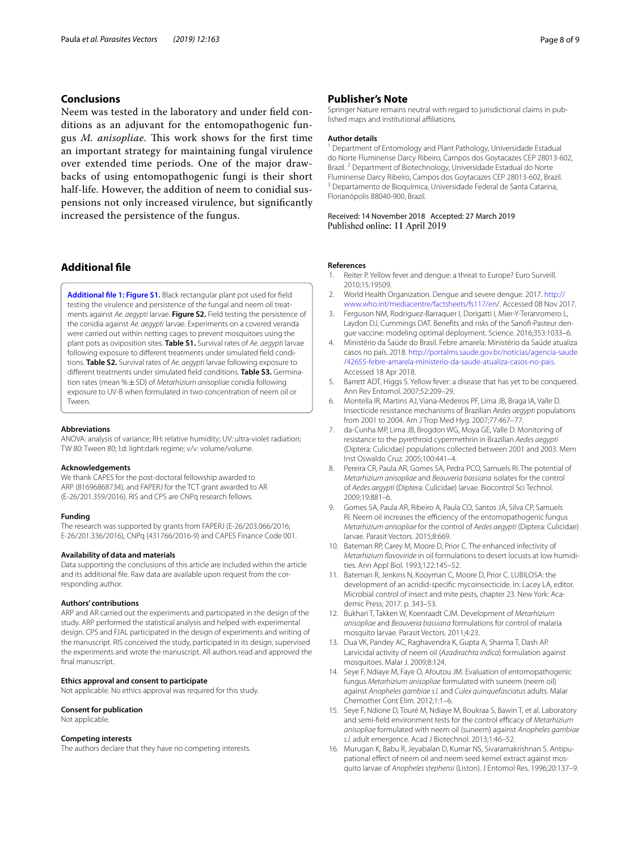# **Conclusions**

Neem was tested in the laboratory and under feld conditions as an adjuvant for the entomopathogenic fungus *M. anisopliae*. This work shows for the first time an important strategy for maintaining fungal virulence over extended time periods. One of the major drawbacks of using entomopathogenic fungi is their short half-life. However, the addition of neem to conidial suspensions not only increased virulence, but signifcantly increased the persistence of the fungus.

# **Additional fle**

<span id="page-7-16"></span>**[Additional fle 1: Figure S1.](https://doi.org/10.1186/s13071-019-3415-x)** Black rectangular plant pot used for feld testing the virulence and persistence of the fungal and neem oil treatments against *Ae. aegypti* larvae. **Figure S2.** Field testing the persistence of the conidia against *Ae. aegypti* larvae. Experiments on a covered veranda were carried out within netting cages to prevent mosquitoes using the plant pots as oviposition sites. **Table S1.** Survival rates of *Ae. aegypti* larvae following exposure to diferent treatments under simulated feld conditions. **Table S2.** Survival rates of *Ae. aegypti* larvae following exposure to diferent treatments under simulated feld conditions. **Table S3.** Germination rates (mean %±SD) of *Metarhizium anisopliae* conidia following exposure to UV-B when formulated in two concentration of neem oil or Tween.

#### **Abbreviations**

ANOVA: analysis of variance; RH: relative humidity; UV: ultra-violet radiation; TW 80: Tween 80; l:d: light:dark regime; v/v: volume/volume.

#### **Acknowledgements**

We thank CAPES for the post-doctoral fellowship awarded to ARP (81696868734), and FAPERJ for the TCT grant awarded to AR (E-26/201.359/2016). RIS and CPS are CNPq research fellows.

#### **Funding**

The research was supported by grants from FAPERJ (E-26/203.066/2016; E-26/201.336/2016), CNPq (431766/2016-9) and CAPES Finance Code 001.

# **Availability of data and materials**

Data supporting the conclusions of this article are included within the article and its additional fle. Raw data are available upon request from the corresponding author.

#### **Authors' contributions**

ARP and AR carried out the experiments and participated in the design of the study. ARP performed the statistical analysis and helped with experimental design. CPS and FJAL participated in the design of experiments and writing of the manuscript. RIS conceived the study, participated in its design, supervised the experiments and wrote the manuscript. All authors read and approved the final manuscript.

#### **Ethics approval and consent to participate**

Not applicable. No ethics approval was required for this study.

#### **Consent for publication**

Not applicable.

#### **Competing interests**

The authors declare that they have no competing interests.

# **Publisher's Note**

Springer Nature remains neutral with regard to jurisdictional claims in published maps and institutional afliations.

#### **Author details**

<sup>1</sup> Department of Entomology and Plant Pathology, Universidade Estadual do Norte Fluminense Darcy Ribeiro, Campos dos Goytacazes CEP 28013-602, Brazil. <sup>2</sup> Department of Biotechnology, Universidade Estadual do Norte Fluminense Darcy Ribeiro, Campos dos Goytacazes CEP 28013-602, Brazil.<br><sup>3</sup> Departamento de Bioquímica, Universidade Federal de Santa Catarina, Florianópolis 88040-900, Brazil.

Received: 14 November 2018 Accepted: 27 March 2019 Published online: 11 April 2019

#### **References**

- <span id="page-7-0"></span>1. Reiter P. Yellow fever and dengue: a threat to Europe? Euro Surveill. 2010;15:19509.
- <span id="page-7-1"></span>2. World Health Organization. Dengue and severe dengue. 2017. [http://](http://www.who.int/mediacentre/factsheets/fs117/en/) [www.who.int/mediacentre/factsheets/fs117/en/](http://www.who.int/mediacentre/factsheets/fs117/en/). Accessed 08 Nov 2017.
- <span id="page-7-2"></span>3. Ferguson NM, Rodriguez-Barraquer I, Dorigatti I, Mier-Y-Teranromero L, Laydon DJ, Cummings DAT. Benefts and risks of the Sanof-Pasteur dengue vaccine: modeling optimal deployment. Science. 2016;353:1033–6.
- <span id="page-7-3"></span>4. Ministério da Saúde do Brasil. Febre amarela: Ministério da Saúde atualiza casos no país. 2018. [http://portalms.saude.gov.br/noticias/agencia-saude](http://portalms.saude.gov.br/noticias/agencia-saude/42655-febre-amarela-ministerio-da-saude-atualiza-casos-no-pais) [/42655-febre-amarela-ministerio-da-saude-atualiza-casos-no-pais.](http://portalms.saude.gov.br/noticias/agencia-saude/42655-febre-amarela-ministerio-da-saude-atualiza-casos-no-pais) Accessed 18 Apr 2018.
- <span id="page-7-4"></span>5. Barrett ADT, Higgs S. Yellow fever: a disease that has yet to be conquered. Ann Rev Entomol. 2007;52:209–29.
- <span id="page-7-5"></span>6. Montella IR, Martins AJ, Viana-Medeiros PF, Lima JB, Braga IA, Valle D. Insecticide resistance mechanisms of Brazilian *Aedes aegypti* populations from 2001 to 2004. Am J Trop Med Hyg. 2007;77:467–77.
- <span id="page-7-6"></span>da-Cunha MP, Lima JB, Brogdon WG, Moya GE, Valle D. Monitoring of resistance to the pyrethroid cypermethrin in Brazilian *Aedes aegypti* (Diptera: Culicidae) populations collected between 2001 and 2003. Mem Inst Oswaldo Cruz. 2005;100:441–4.
- <span id="page-7-7"></span>8. Pereira CR, Paula AR, Gomes SA, Pedra PCO, Samuels RI. The potential of *Metarhizium anisopliae* and *Beauveria bassiana* isolates for the control of *Aedes aegypti* (Diptera: Culicidae) larvae. Biocontrol Sci Technol. 2009;19:881–6.
- <span id="page-7-8"></span>9. Gomes SA, Paula AR, Ribeiro A, Paula CO, Santos JÁ, Silva CP, Samuels RI. Neem oil increases the efficiency of the entomopathogenic fungus *Metarhizium anisopliae* for the control of *Aedes aegypti* (Diptera: Culicidae) larvae. Parasit Vectors. 2015;8:669.
- <span id="page-7-9"></span>10. Bateman RP, Carey M, Moore D, Prior C. The enhanced infectivity of *Metarhizium favoviride* in oil formulations to desert locusts at low humidities. Ann Appl Biol. 1993;122:145–52.
- <span id="page-7-10"></span>11. Bateman R, Jenkins N, Kooyman C, Moore D, Prior C. LUBILOSA: the development of an acridid-specifc mycoinsecticide. In: Lacey LA, editor. Microbial control of insect and mite pests, chapter 23. New York: Academic Press; 2017. p. 343–53.
- <span id="page-7-11"></span>12. Bukhari T, Takken W, Koenraadt CJM. Development of *Metarhizium anisopliae* and *Beauveria bassiana* formulations for control of malaria mosquito larvae. Parasit Vectors. 2011;4:23.
- <span id="page-7-12"></span>13. Dua VK, Pandey AC, Raghavendra K, Gupta A, Sharma T, Dash AP. Larvicidal activity of neem oil (*Azadirachta indica*) formulation against mosquitoes. Malar J. 2009;8:124.
- <span id="page-7-13"></span>14. Seye F, Ndiaye M, Faye O, Afoutou JM. Evaluation of entomopathogenic fungus *Metarhizium anisopliae* formulated with suneem (neem oil) against *Anopheles gambiae s.l.* and *Culex quinquefasciatus* adults. Malar Chemother Cont Elim. 2012;1:1–6.
- <span id="page-7-14"></span>15. Seye F, Ndione D, Touré M, Ndiaye M, Boukraa S, Bawin T, et al. Laboratory and semi-field environment tests for the control efficacy of *Metarhizium anisopliae* formulated with neem oil (suneem) against *Anopheles gambiae s.l.* adult emergence. Acad J Biotechnol. 2013;1:46–52.
- <span id="page-7-15"></span>16. Murugan K, Babu R, Jeyabalan D, Kumar NS, Sivaramakrishnan S. Antipupational effect of neem oil and neem seed kernel extract against mosquito larvae of *Anopheles stephensi* (Liston). J Entomol Res. 1996;20:137–9.